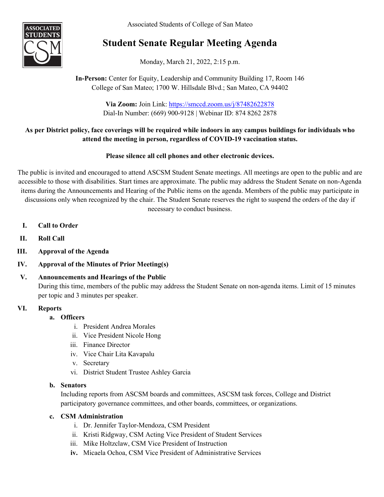Associated Students of College of San Mateo



# **Student Senate Regular Meeting Agenda**

Monday, March 21, 2022, 2:15 p.m.

# **In-Person:** Center for Equity, Leadership and Community Building 17, Room 146 College of San Mateo; 1700 W. Hillsdale Blvd.; San Mateo, CA 94402

**Via Zoom:** Join Link: <https://smccd.zoom.us/j/87482622878> Dial-In Number: (669) 900-9128 | Webinar ID: 874 8262 2878

# **As per District policy, face coverings will be required while indoors in any campus buildings for individuals who attend the meeting in person, regardless of COVID-19 vaccination status.**

# **Please silence all cell phones and other electronic devices.**

The public is invited and encouraged to attend ASCSM Student Senate meetings. All meetings are open to the public and are accessible to those with disabilities. Start times are approximate. The public may address the Student Senate on non-Agenda items during the Announcements and Hearing of the Public items on the agenda. Members of the public may participate in discussions only when recognized by the chair. The Student Senate reserves the right to suspend the orders of the day if necessary to conduct business.

- **I. Call to Order**
- **II. Roll Call**
- **III. Approval of the Agenda**
- **IV. Approval of the Minutes of Prior Meeting(s)**

# **V. Announcements and Hearings of the Public** During this time, members of the public may address the Student Senate on non-agenda items. Limit of 15 minutes per topic and 3 minutes per speaker.

# **VI. Reports**

# **a. Officers**

- i. President Andrea Morales
- ii. Vice President Nicole Hong
- iii. Finance Director
- iv. Vice Chair Lita Kavapalu
- v. Secretary
- vi. District Student Trustee Ashley Garcia

# **b. Senators**

Including reports from ASCSM boards and committees, ASCSM task forces, College and District participatory governance committees, and other boards, committees, or organizations.

# **c. CSM Administration**

- i. Dr. Jennifer Taylor-Mendoza, CSM President
- ii. Kristi Ridgway, CSM Acting Vice President of Student Services
- iii. Mike Holtzclaw, CSM Vice President of Instruction
- **iv.** Micaela Ochoa, CSM Vice President of Administrative Services